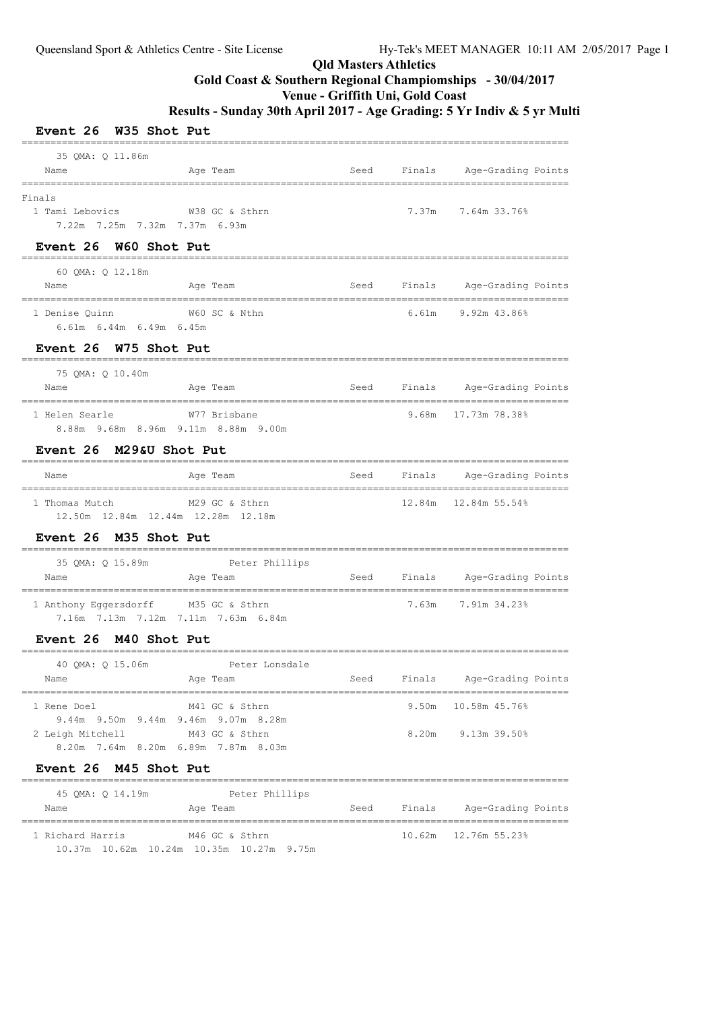## **Venue - Griffith Uni, Gold Coast**

| Event 26 W35 Shot Put                                                               |                                             |      |                |                                |  |
|-------------------------------------------------------------------------------------|---------------------------------------------|------|----------------|--------------------------------|--|
| 35 QMA: Q 11.86m<br>Name                                                            | Age Team                                    |      |                | Seed Finals Age-Grading Points |  |
| Finals<br>1 Tami Lebovics<br>7.22m 7.25m 7.32m 7.37m 6.93m<br>Event 26 W60 Shot Put | W38 GC & Sthrn                              |      |                | 7.37m 7.64m 33.76%             |  |
| 60 QMA: Q 12.18m<br>Name                                                            | Age Team                                    | Seed |                | Finals Age-Grading Points      |  |
| 1 Denise Quinn<br>6.61m 6.44m 6.49m 6.45m                                           | W60 SC & Nthn                               |      |                | $6.61m$ $9.92m$ $43.86\%$      |  |
| Event 26 W75 Shot Put<br>75 QMA: Q 10.40m<br>Name                                   | Age Team                                    | Seed |                | Finals Age-Grading Points      |  |
| 1 Helen Searle<br>8.88m 9.68m 8.96m 9.11m 8.88m 9.00m                               | W77 Brisbane                                |      |                | $9.68m$ 17.73m 78.38%          |  |
| Event 26 M29&U Shot Put<br>Name                                                     | Age Team                                    |      |                | Seed Finals Age-Grading Points |  |
| 1 Thomas Mutch<br>12.50m  12.84m  12.44m  12.28m  12.18m                            | M29 GC & Sthrn                              |      |                | $12.84m$ $12.84m$ $55.54\%$    |  |
| Event 26 M35 Shot Put                                                               |                                             |      |                |                                |  |
| Name                                                                                | 35 QMA: Q 15.89m Peter Phillips<br>Age Team |      |                | Seed Finals Age-Grading Points |  |
| 1 Anthony Eqqersdorff M35 GC & Sthrn<br>7.16m 7.13m 7.12m 7.11m 7.63m 6.84m         |                                             |      |                | 7.63m 7.91m 34.23%             |  |
| Event 26 M40 Shot Put                                                               |                                             |      |                |                                |  |
| 40 QMA: Q 15.06m<br>Name<br>--------------------------------                        | Peter Lonsdale<br>Age Team                  | Seed | Finals         | Age-Grading Points<br>_______  |  |
| 1 Rene Doel<br>9.44m 9.50m 9.44m 9.46m 9.07m 8.28m<br>2 Leigh Mitchell              | M41 GC & Sthrn<br>M43 GC & Sthrn            |      | 9.50m<br>8.20m | 10.58m 45.76%<br>9.13m 39.50%  |  |
| 8.20m 7.64m 8.20m 6.89m 7.87m 8.03m<br><b>Event 26</b><br>M45 Shot Put              |                                             |      |                |                                |  |
| 45 QMA: Q 14.19m                                                                    | Peter Phillips                              |      |                |                                |  |

| Name |                  |  | Age Team                                 |  | Seed | Finals | Age-Grading Points |  |
|------|------------------|--|------------------------------------------|--|------|--------|--------------------|--|
|      | 1 Richard Harris |  | M46 GC & Sthrn                           |  |      |        |                    |  |
|      |                  |  | 10.37m 10.62m 10.24m 10.35m 10.27m 9.75m |  |      |        |                    |  |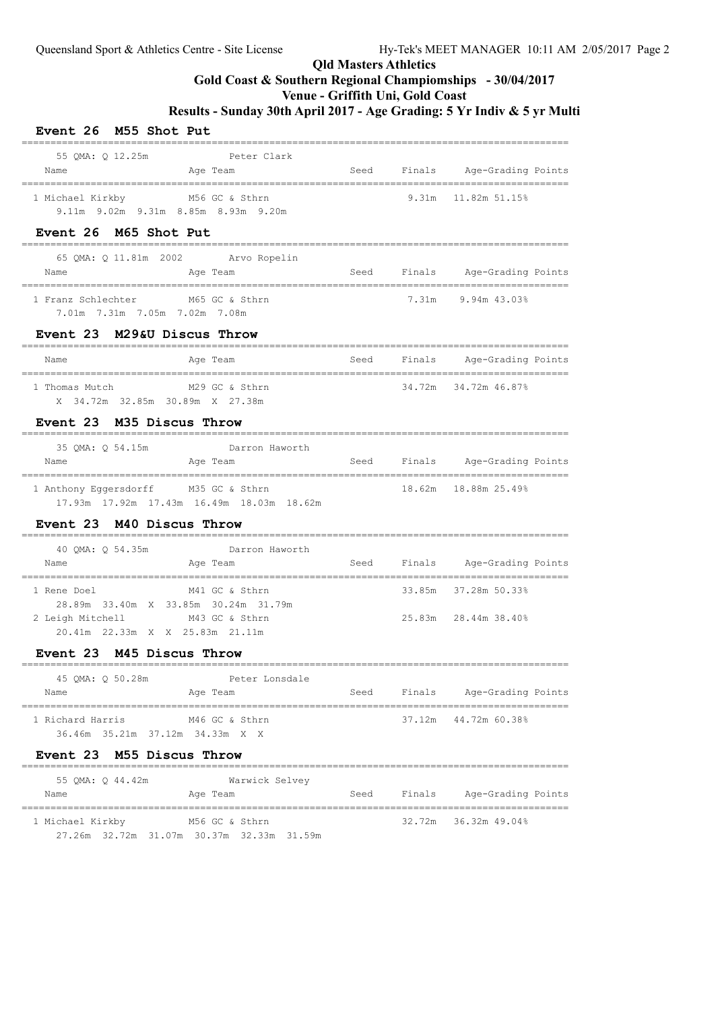## **Venue - Griffith Uni, Gold Coast**

| Event 26 M55 Shot Put                                                                                      |                                                                                       |      |        |                                |  |
|------------------------------------------------------------------------------------------------------------|---------------------------------------------------------------------------------------|------|--------|--------------------------------|--|
| 55 OMA: 0 12.25m Peter Clark<br>Name                                                                       | Age Team                                                                              |      |        | Seed Finals Age-Grading Points |  |
| 1 Michael Kirkby M56 GC & Sthrn<br>9.11m 9.02m 9.31m 8.85m 8.93m 9.20m                                     |                                                                                       |      |        | $9.31m$ $11.82m$ $51.158$      |  |
| Event 26 M65 Shot Put                                                                                      |                                                                                       |      |        |                                |  |
| Name                                                                                                       | 65 QMA: Q 11.81m 2002 Arvo Ropelin<br>Age Team Manager Seed Finals Age-Grading Points |      |        |                                |  |
| 1 Franz Schlechter M65 GC & Sthrn<br>7.01m 7.31m 7.05m 7.02m 7.08m                                         |                                                                                       |      |        | $7.31m$ 9.94m 43.03%           |  |
| Event 23 M29&U Discus Throw                                                                                |                                                                                       |      |        |                                |  |
| Name                                                                                                       | Age Team                                                                              |      |        | Seed Finals Age-Grading Points |  |
| 1 Thomas Mutch<br>X 34.72m 32.85m 30.89m X 27.38m                                                          | M29 GC & Sthrn                                                                        |      |        | 34.72m 34.72m 46.87%           |  |
| Event 23 M35 Discus Throw                                                                                  |                                                                                       |      |        |                                |  |
| 35 QMA: Q 54.15m<br>Name                                                                                   | Darron Haworth<br>Age Team                                                            |      |        | Seed Finals Age-Grading Points |  |
| 1 Anthony Eggersdorff M35 GC & Sthrn                                                                       | 17.93m  17.92m  17.43m  16.49m  18.03m  18.62m                                        |      |        | 18,62m 18,88m 25,49%           |  |
| Event 23 M40 Discus Throw                                                                                  |                                                                                       |      |        |                                |  |
| Name                                                                                                       | 40 QMA: Q 54.35m Darron Haworth<br>Age Team                                           |      |        | Seed Finals Age-Grading Points |  |
| 1 Rene Doel                                                                                                | M41 GC & Sthrn                                                                        |      |        | 33.85m 37.28m 50.33%           |  |
| 28.89m 33.40m X 33.85m 30.24m 31.79m<br>2 Leigh Mitchell M43 GC & Sthrn<br>20.41m 22.33m X X 25.83m 21.11m |                                                                                       |      |        | 25.83m 28.44m 38.40%           |  |
| Event 23 M45 Discus Throw                                                                                  |                                                                                       |      |        |                                |  |
| 45 QMA: Q 50.28m<br>Name                                                                                   | Peter Lonsdale<br>Age Team                                                            | Seed | Finals | Age-Grading Points             |  |
| 1 Richard Harris<br>36.46m 35.21m 37.12m 34.33m X X                                                        | M46 GC & Sthrn                                                                        |      |        | 37.12m  44.72m  60.38%         |  |
| Event 23 M55 Discus Throw                                                                                  |                                                                                       |      |        |                                |  |
| 55 QMA: Q 44.42m<br>Name                                                                                   | Warwick Selvey<br>Age Team                                                            | Seed |        | Finals Age-Grading Points      |  |
| 1 Michael Kirkby                                                                                           | M56 GC & Sthrn<br>27.26m 32.72m 31.07m 30.37m 32.33m 31.59m                           |      |        | 32.72m 36.32m 49.04%           |  |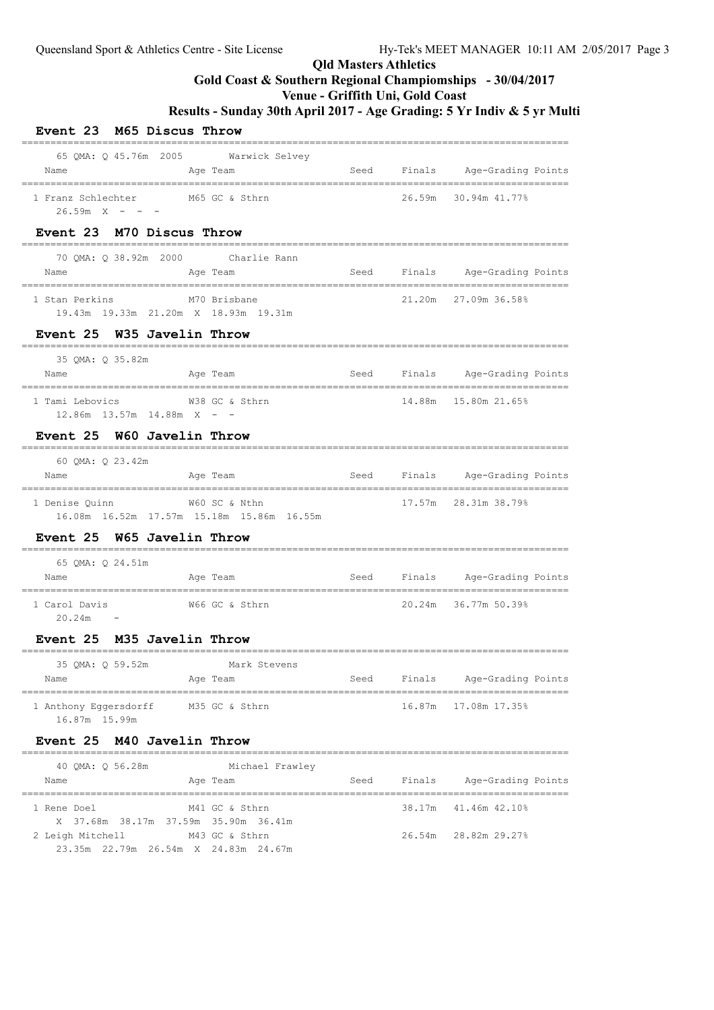## **Venue - Griffith Uni, Gold Coast**

**Results - Sunday 30th April 2017 - Age Grading: 5 Yr Indiv & 5 yr Multi**

## $\begin{bmatrix} 1 & 0 & 0 \\ 0 & 1 & 0 \end{bmatrix}$

| <b>Event 23</b><br>M65 Discus Throw                                            |                           |        |                                                        |
|--------------------------------------------------------------------------------|---------------------------|--------|--------------------------------------------------------|
| 65 QMA: Q 45.76m 2005 Warwick Selvey<br>Age Team<br>Name                       | Seed                      |        | Finals Age-Grading Points                              |
| 1 Franz Schlechter M65 GC & Sthrn<br>$26.59m \tX - - -$                        |                           |        | 26.59m 30.94m 41.77%                                   |
| Event 23 M70 Discus Throw                                                      |                           |        |                                                        |
| 70 QMA: Q 38.92m 2000 Charlie Rann<br>Age Team<br>Name                         | Seed                      |        | Finals Age-Grading Points                              |
| 1 Stan Perkins<br>M70 Brisbane<br>19.43m 19.33m 21.20m X 18.93m 19.31m         |                           |        | 21.20m 27.09m 36.58%                                   |
| Event 25 W35 Javelin Throw<br>__________________________________               |                           |        |                                                        |
| 35 QMA: Q 35.82m<br>Age Team<br>Name                                           | Seed                      |        | Finals Age-Grading Points                              |
| 1 Tami Lebovics 67 68 60 % Sthrn<br>$12.86m$ $13.57m$ $14.88m$ X - -           |                           |        | 14.88m  15.80m  21.65%                                 |
| Event 25 W60 Javelin Throw<br>------------------------------                   |                           |        |                                                        |
| 60 QMA: Q 23.42m<br>Age Team<br>Name                                           |                           |        | Seed Finals Age-Grading Points                         |
| 1 Denise Quinn W60 SC & Nthn<br>16.08m  16.52m  17.57m  15.18m  15.86m  16.55m |                           |        | 17.57m 28.31m 38.79%                                   |
| Event 25 W65 Javelin Throw                                                     |                           |        |                                                        |
| 65 QMA: Q 24.51m<br>Age Team<br>Name                                           |                           |        | Seed Finals Age-Grading Points<br>-------------------- |
| 1 Carol Davis<br>W66 GC & Sthrn<br>20.24m                                      |                           |        | 20.24m 36.77m 50.39%                                   |
| Event 25 M35 Javelin Throw                                                     | _________________________ |        |                                                        |
| 35 QMA: Q 59.52m<br>Mark Stevens<br>Age Team<br>Name                           | Seed<br>-----------       | Finals | Age-Grading Points                                     |
| 1 Anthony Eggersdorff<br>M35 GC & Sthrn<br>16.87m 15.99m                       |                           | 16.87m | 17.08m 17.35%                                          |
| M40 Javelin Throw<br><b>Event 25</b>                                           |                           |        |                                                        |
| 40 QMA: Q 56.28m<br>Michael Frawley<br>Name<br>Age Team                        | Seed                      | Finals | Age-Grading Points                                     |
| --------                                                                       |                           |        | ----------------------------                           |

 1 Rene Doel M41 GC & Sthrn 38.17m 41.46m 42.10% X 37.68m 38.17m 37.59m 35.90m 36.41m 2 Leigh Mitchell M43 GC & Sthrn 26.54m 28.82m 29.27% 23.35m 22.79m 26.54m X 24.83m 24.67m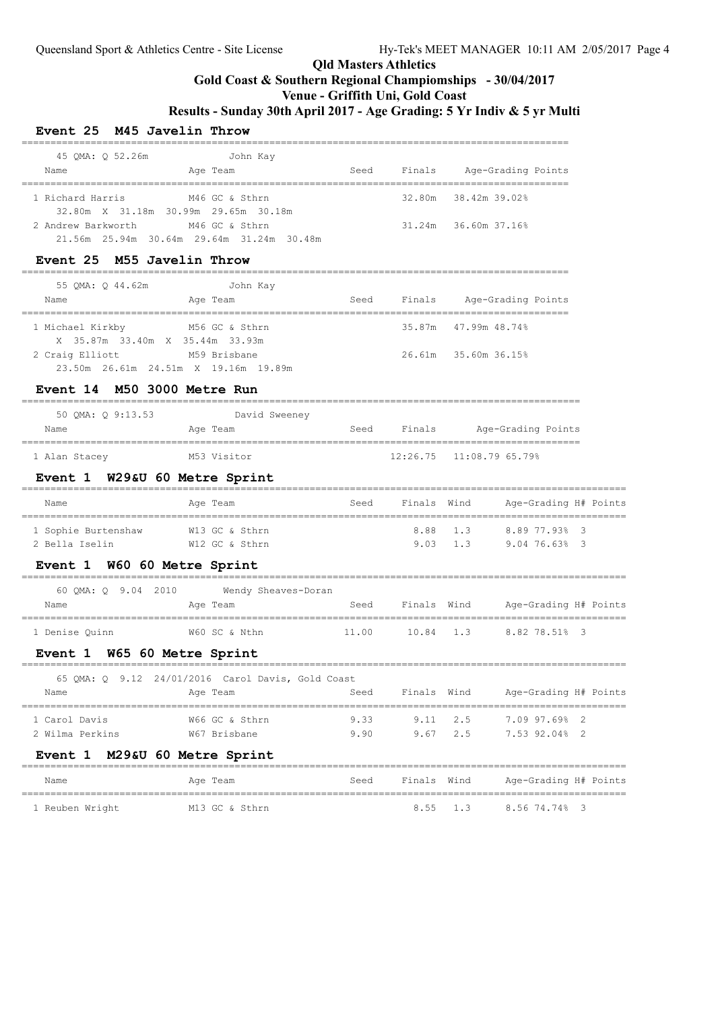**Gold Coast & Southern Regional Champiomships - 30/04/2017**

**Venue - Griffith Uni, Gold Coast**

**Results - Sunday 30th April 2017 - Age Grading: 5 Yr Indiv & 5 yr Multi**

#### **Event 25 M45 Javelin Throw**

| 45 OMA: 0 52.26m   | John Kay                                              |      |        |                            |  |
|--------------------|-------------------------------------------------------|------|--------|----------------------------|--|
| Name               | Age Team                                              | Seed | Finals | Age-Grading Points         |  |
|                    |                                                       |      |        |                            |  |
| 1 Richard Harris   | M46 GC & Sthrn                                        |      |        | 32.80m 38.42m 39.02%       |  |
|                    | 32.80m X 31.18m 30.99m 29.65m 30.18m                  |      |        |                            |  |
| 2 Andrew Barkworth | M46 GC & Sthrn                                        |      |        | $31.24m$ $36.60m$ $37.16%$ |  |
|                    | $21.56m$ $25.94m$ $30.64m$ $29.64m$ $31.24m$ $30.48m$ |      |        |                            |  |

#### **Event 25 M55 Javelin Throw**

| 55 OMA: 0 44.62m                | John Kay                             |      |        |                      |
|---------------------------------|--------------------------------------|------|--------|----------------------|
| Name                            | Age Team                             | Seed | Finals | Age-Grading Points   |
| 1 Michael Kirkby                | M56 GC & Sthrn                       |      |        | 35.87m 47.99m 48.74% |
| X 35.87m 33.40m X 35.44m 33.93m |                                      |      |        |                      |
| 2 Craig Elliott                 | M59 Brisbane                         |      |        | 26.61m 35.60m 36.15% |
|                                 | 23.50m 26.61m 24.51m X 19.16m 19.89m |      |        |                      |

#### **Event 14 M50 3000 Metre Run**

| 50 OMA: 0 9:13.53 | David Sweeney |      |        |                            |
|-------------------|---------------|------|--------|----------------------------|
| Name              | Age Team      | Seed | Finals | Age-Grading Points         |
|                   |               |      |        |                            |
| 1 Alan Stacey     | M53 Visitor   |      |        | $12:26.75$ $11:08.7965.79$ |

#### **Event 1 W29&U 60 Metre Sprint**

| Name                | Age Team       | Seed | Finals Wind      | Age-Grading H# Points |
|---------------------|----------------|------|------------------|-----------------------|
| 1 Sophie Burtenshaw | W13 GC & Sthrn |      | 8.88 1.3         | 8.89 77.93% 3         |
| 2 Bella Iselin      | W12 GC & Sthrn |      | $9.03 \quad 1.3$ | 9.0476.63%3           |

#### **Event 1 W60 60 Metre Sprint**

|                | 60 OMA: 0 9.04 2010 |  |               | Wendy Sheaves-Doran |       |             |                       |  |
|----------------|---------------------|--|---------------|---------------------|-------|-------------|-----------------------|--|
| Name           |                     |  | Age Team      |                     | Seed  | Finals Wind | Age-Grading H# Points |  |
| 1 Denise Ouinn |                     |  | W60 SC & Nthn |                     | 11.00 | $10.84$ 1.3 | 8.82 78.51% 3         |  |

#### **Event 1 W65 60 Metre Sprint**

| Name<br>1 Carol Davis | 2 Wilma Perkins | Age Team<br>W66 GC & Sthrn<br>W67 Brisbane | 65 QMA: Q 9.12 24/01/2016 Carol Davis, Gold Coast<br>Seed<br>9.33<br>9.90 | Finals Wind<br>$9.11 \t 2.5$<br>9.67 2.5 | Age-Grading H# Points<br>7.09 97.69% 2<br>7.53 92.04% 2 |
|-----------------------|-----------------|--------------------------------------------|---------------------------------------------------------------------------|------------------------------------------|---------------------------------------------------------|

#### **Event 1 M29&U 60 Metre Sprint**

| Name            | Age Team       | Seed | Finals Wind      | Age-Grading H# Points |  |
|-----------------|----------------|------|------------------|-----------------------|--|
| 1 Reuben Wright | M13 GC & Sthrn |      | $8.55 \quad 1.3$ | 8.56 74.74% 3         |  |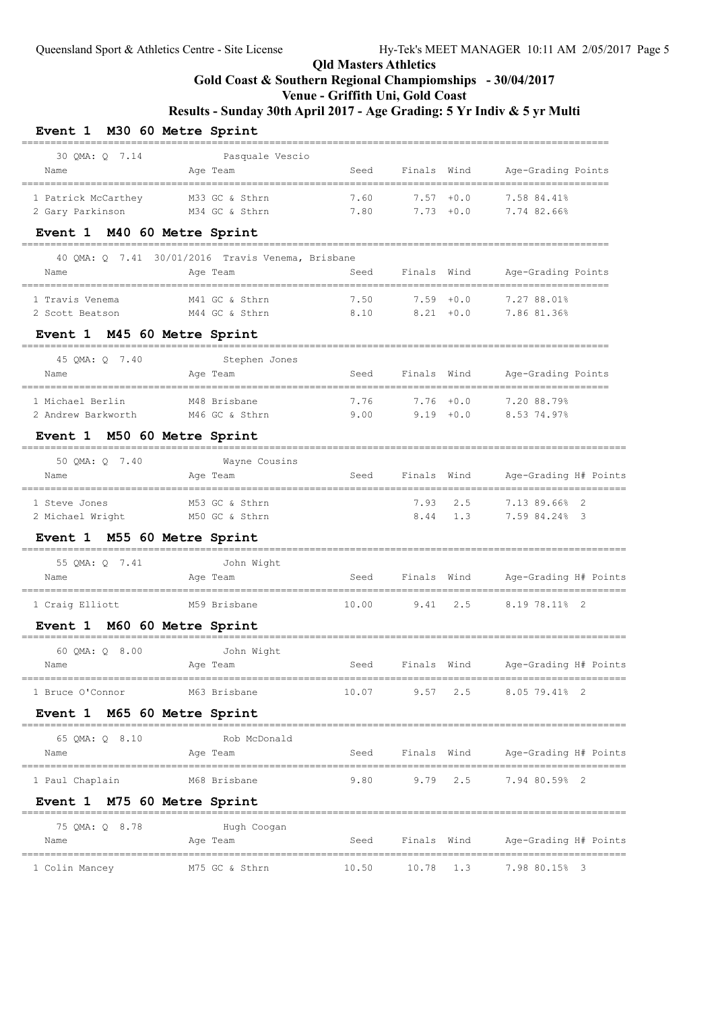# **Gold Coast & Southern Regional Champiomships - 30/04/2017**

## **Venue - Griffith Uni, Gold Coast**

**Results - Sunday 30th April 2017 - Age Grading: 5 Yr Indiv & 5 yr Multi**

### **Event 1 M30 60 Metre Sprint**

| 30 OMA: 0 7.14<br>Name                | Pasquale Vescio<br>Aqe Team                       | Seed                                  | Finals Wind         |           | Age-Grading Points                |
|---------------------------------------|---------------------------------------------------|---------------------------------------|---------------------|-----------|-----------------------------------|
| 1 Patrick McCarthey                   | M33 GC & Sthrn                                    | 7.60                                  | $7.57 + 0.0$        |           | 7.58 84.41%                       |
| 2 Gary Parkinson                      | M34 GC & Sthrn                                    | 7.80                                  | $7.73 + 0.0$        |           | 7.74 82.66%                       |
| Event 1 M40 60 Metre Sprint           | -----------------                                 |                                       |                     |           |                                   |
|                                       | 40 QMA: Q 7.41 30/01/2016 Travis Venema, Brisbane |                                       |                     |           |                                   |
| Name                                  | Age Team                                          | Seed                                  | Finals Wind         |           | Age-Grading Points                |
| 1 Travis Venema                       | M41 GC & Sthrn                                    | 7.50                                  | $7.59 + 0.0$        |           | 7.27 88.01%                       |
| 2 Scott Beatson                       | M44 GC & Sthrn                                    | 8.10                                  | $8.21 + 0.0$        |           | 7.86 81.36%                       |
| Event 1 M45 60 Metre Sprint           |                                                   |                                       |                     |           |                                   |
| 45 QMA: Q 7.40                        | -----------------------------<br>Stephen Jones    |                                       |                     |           |                                   |
| Name                                  | Age Team                                          | Seed                                  | Finals Wind         |           | Age-Grading Points                |
| =============<br>1 Michael Berlin     | M48 Brisbane                                      | 7.76                                  | $7.76 + 0.0$        |           | 7.20 88.79%                       |
| 2 Andrew Barkworth                    | M46 GC & Sthrn                                    | 9.00                                  | $9.19 + 0.0$        |           | 8.53 74.97%                       |
| Event 1 M50 60 Metre Sprint           |                                                   |                                       |                     |           |                                   |
| 50 QMA: Q 7.40                        | Wayne Cousins                                     |                                       |                     |           |                                   |
| Name                                  | Age Team                                          | Seed                                  | Finals Wind         |           | Age-Grading H# Points             |
| --------------------<br>1 Steve Jones | ------------<br>M53 GC & Sthrn                    | ------------------------------------- | 7.93                | 2.5       | 7.13 89.66% 2                     |
| 2 Michael Wright                      | M50 GC & Sthrn                                    |                                       | 8.44                | 1.3       | 7.59 84.24% 3                     |
| Event 1 M55 60 Metre Sprint           |                                                   |                                       |                     |           |                                   |
| 55 QMA: Q 7.41                        | John Wight                                        |                                       |                     |           |                                   |
| Name                                  | Age Team                                          | Seed                                  | Finals Wind         |           | Age-Grading H# Points             |
| 1 Craig Elliott                       | M59 Brisbane                                      | 10.00                                 | 9.41                | 2.5       | 8.19 78.11% 2                     |
|                                       |                                                   |                                       |                     |           |                                   |
| Event 1 M60 60 Metre Sprint           |                                                   |                                       |                     |           |                                   |
| 60 QMA: Q 8.00                        | John Wight                                        |                                       | Finals Wind         |           |                                   |
| Name                                  | Age Team                                          | Seed                                  |                     |           | Age-Grading H# Points             |
| 1 Bruce O'Connor                      | M63 Brisbane                                      |                                       |                     |           | 10.07 9.57 2.5 8.05 79.41% 2      |
| Event 1 M65 60 Metre Sprint           |                                                   |                                       |                     |           |                                   |
| 65 QMA: Q 8.10                        | Rob McDonald                                      |                                       |                     |           |                                   |
| Name                                  | Age Team                                          |                                       | Seed Finals Wind    |           | Age-Grading H# Points             |
| 1 Paul Chaplain                       | M68 Brisbane                                      |                                       | $9.80$ $9.79$ $2.5$ |           | 7.94 80.59% 2                     |
| Event 1 M75 60 Metre Sprint           |                                                   |                                       |                     |           |                                   |
|                                       |                                                   |                                       |                     |           |                                   |
| 75 QMA: Q 8.78<br>Name                | Hugh Coogan<br>Age Team                           | Seed                                  |                     |           | Finals Wind Age-Grading H# Points |
|                                       |                                                   |                                       |                     |           |                                   |
| 1 Colin Mancey                        | M75 GC & Sthrn                                    | 10.50                                 |                     | 10.78 1.3 | 7.98 80.15% 3                     |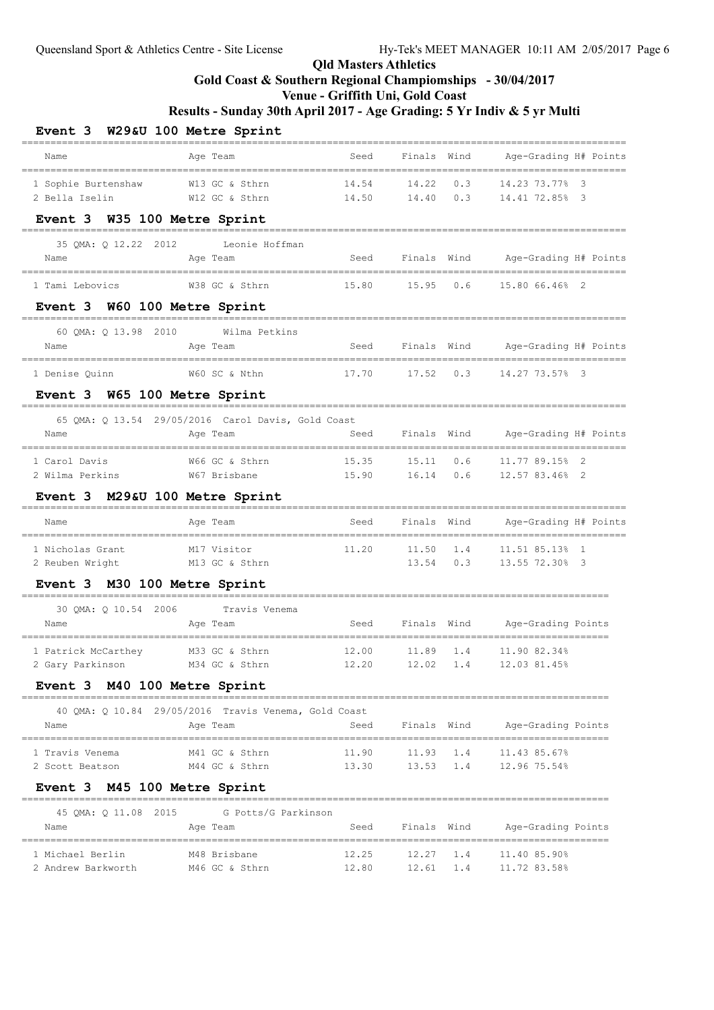## **Gold Coast & Southern Regional Champiomships - 30/04/2017**

**Venue - Griffith Uni, Gold Coast**

| Event 3 W29&U 100 Metre Sprint               |                                                      |                                       |                 |             |                                                                    |  |
|----------------------------------------------|------------------------------------------------------|---------------------------------------|-----------------|-------------|--------------------------------------------------------------------|--|
| Name<br>------------------------------------ | Age Team                                             | Seed<br>----------------------------- | Finals Wind     |             | Age-Grading H# Points                                              |  |
| 1 Sophie Burtenshaw                          | W13 GC & Sthrn                                       | 14.54                                 | $14.22 \t 0.3$  |             | 14.23 73.77% 3                                                     |  |
| 2 Bella Iselin                               | W12 GC & Sthrn                                       | 14.50                                 | 14.40           | 0.3         | 14.41 72.85% 3                                                     |  |
| Event 3 W35 100 Metre Sprint                 |                                                      |                                       |                 |             |                                                                    |  |
| 35 QMA: Q 12.22 2012                         | Leonie Hoffman                                       |                                       |                 |             |                                                                    |  |
| Name                                         | Age Team                                             | Seed                                  |                 |             | Finals Wind Age-Grading H# Points<br>_____________________________ |  |
| 1 Tami Lebovics                              | W38 GC & Sthrn                                       |                                       | 15.80 15.95 0.6 |             | 15.80 66.46% 2                                                     |  |
| Event 3 W60 100 Metre Sprint                 |                                                      |                                       |                 |             |                                                                    |  |
| 60 QMA: Q 13.98 2010                         | Wilma Petkins                                        |                                       |                 |             |                                                                    |  |
| Name                                         | Age Team                                             | Seed                                  |                 |             | Finals Wind Age-Grading H# Points                                  |  |
| 1 Denise Quinn                               | W60 SC & Nthn                                        | 17.70                                 | 17.52           | 0.3         | 14.27 73.57% 3                                                     |  |
| Event 3 W65 100 Metre Sprint                 |                                                      |                                       |                 |             |                                                                    |  |
|                                              | 65 QMA: Q 13.54 29/05/2016 Carol Davis, Gold Coast   |                                       |                 |             |                                                                    |  |
| Name                                         | Age Team                                             | Seed                                  |                 | Finals Wind | Age-Grading H# Points                                              |  |
| 1 Carol Davis                                | W66 GC & Sthrn                                       | 15.35                                 | 15.11           | 0.6         | 11.77 89.15% 2                                                     |  |
| 2 Wilma Perkins                              | W67 Brisbane                                         | 15.90                                 | 16.14           | 0.6         | 12.57 83.46% 2                                                     |  |
| Event 3 M29&U 100 Metre Sprint               |                                                      |                                       |                 |             |                                                                    |  |
| Name                                         | Age Team                                             | Seed                                  | Finals          | Wind        | Age-Grading H# Points                                              |  |
| 1 Nicholas Grant                             | M17 Visitor                                          | 11.20                                 | 11.50           | 1.4         | 11.51 85.13% 1                                                     |  |
| 2 Reuben Wright                              | M13 GC & Sthrn                                       |                                       | 13.54           |             | $0.3$ 13.55 72.30% 3                                               |  |
| Event 3 M30 100 Metre Sprint                 |                                                      |                                       |                 |             |                                                                    |  |
| 30 OMA: 0 10.54 2006                         | Travis Venema                                        |                                       |                 |             |                                                                    |  |
| Name                                         | Age Team                                             | Seed                                  |                 |             | Finals Wind Age-Grading Points<br>---------------------            |  |
| 1 Patrick McCarthey                          | M33 GC & Sthrn                                       | 12.00                                 | 11.89           | 1.4         | 11.90 82.34%                                                       |  |
| 2 Gary Parkinson                             | M34 GC & Sthrn                                       | 12.20                                 |                 |             | 12.02 1.4 12.03 81.45%                                             |  |
| Event 3 M40 100 Metre Sprint                 |                                                      |                                       |                 |             |                                                                    |  |
|                                              | 40 QMA: Q 10.84 29/05/2016 Travis Venema, Gold Coast |                                       |                 |             |                                                                    |  |
| Name                                         | Age Team                                             |                                       |                 |             | Seed Finals Wind Age-Grading Points                                |  |
| 1 Travis Venema                              | M41 GC & Sthrn                                       | 11.90                                 |                 |             | 11.93 1.4 11.43 85.67%                                             |  |
| 2 Scott Beatson                              | M44 GC & Sthrn                                       |                                       |                 |             | 13.30 13.53 1.4 12.96 75.54%                                       |  |
| Event 3 M45 100 Metre Sprint                 | _________                                            |                                       |                 |             |                                                                    |  |
| 45 QMA: Q 11.08 2015                         | G Potts/G Parkinson                                  |                                       |                 |             |                                                                    |  |
| Name                                         | Age Team                                             |                                       |                 |             | Seed Finals Wind Age-Grading Points                                |  |
| 1 Michael Berlin                             | M48 Brisbane                                         | 12.25                                 |                 | $12.27$ 1.4 | 11.40 85.90%                                                       |  |
| 2 Andrew Barkworth                           | M46 GC & Sthrn                                       | 12.80                                 |                 |             | 12.61 1.4 11.72 83.58%                                             |  |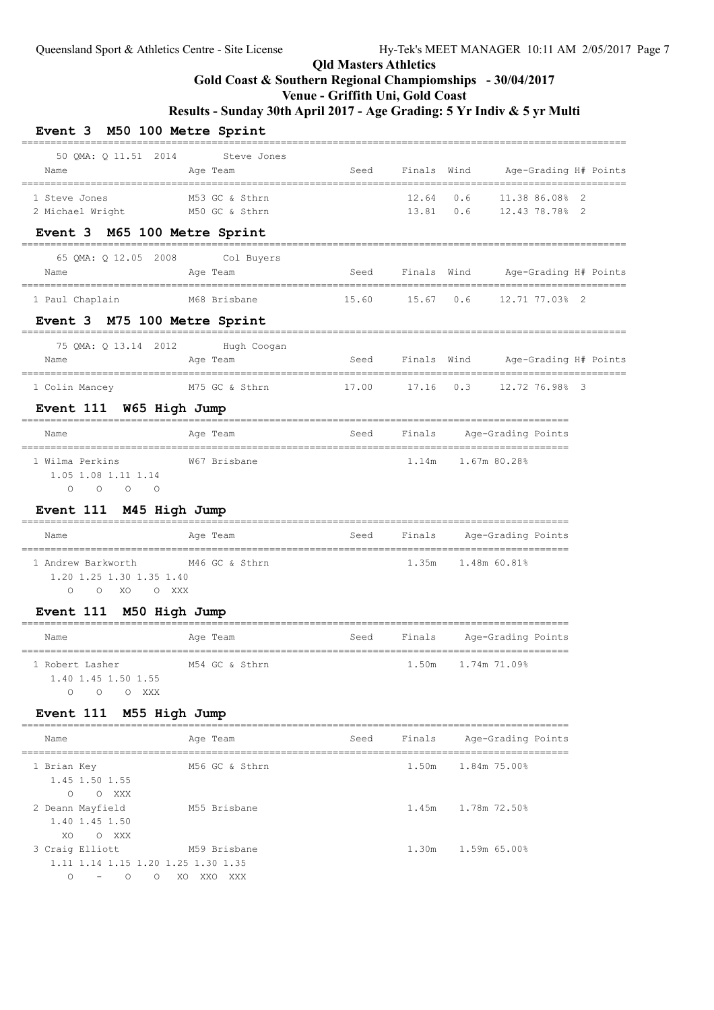=========================================================================================================

## **Qld Masters Athletics**

## **Gold Coast & Southern Regional Champiomships - 30/04/2017**

## **Venue - Griffith Uni, Gold Coast**

**Results - Sunday 30th April 2017 - Age Grading: 5 Yr Indiv & 5 yr Multi**

### **Event 3 M50 100 Metre Sprint**

| Name                                                                                           | 50 QMA: Q 11.51 2014 Steve Jones<br>Age Team          |      |        | Seed Finals Wind Age-Grading H# Points                   |  |
|------------------------------------------------------------------------------------------------|-------------------------------------------------------|------|--------|----------------------------------------------------------|--|
| 1 Steve Jones<br>2 Michael Wright                                                              | M53 GC & Sthrn<br>M50 GC & Sthrn                      |      |        | 12.64 0.6 11.38 86.08% 2<br>13.81  0.6  12.43  78.78%  2 |  |
| Event 3 M65 100 Metre Sprint                                                                   |                                                       |      |        |                                                          |  |
| Name                                                                                           | 65 QMA: Q 12.05 2008 Col Buyers<br>Age Team           |      |        | Seed Finals Wind Age-Grading H# Points                   |  |
| 1 Paul Chaplain                                                                                |                                                       |      |        |                                                          |  |
| Event 3 M75 100 Metre Sprint                                                                   |                                                       |      |        |                                                          |  |
| Name                                                                                           | 75 QMA: Q 13.14 2012 Hugh Coogan<br>Age Team          |      |        | Seed Finals Wind Age-Grading H# Points                   |  |
|                                                                                                | 1 Colin Mancey M75 GC & Sthrn                         |      |        | 17.00 17.16 0.3 12.72 76.98% 3                           |  |
| Event 111 W65 High Jump                                                                        |                                                       |      |        |                                                          |  |
| Name                                                                                           | Aqe Team                                              |      |        | Seed Finals Age-Grading Points                           |  |
| 1 Wilma Perkins<br>1.05 1.08 1.11 1.14<br>$\begin{matrix} 0 & 0 & 0 & 0 \end{matrix}$          | W67 Brisbane                                          |      |        | 1.14m 1.67m 80.28%                                       |  |
| Event 111 M45 High Jump                                                                        |                                                       |      |        |                                                          |  |
| Name                                                                                           | Age Team                                              |      |        | Seed Finals Age-Grading-Points                           |  |
| 1 Andrew Barkworth M46 GC & Sthrn<br>1.20 1.25 1.30 1.35 1.40<br>O O XO O XXX                  |                                                       |      |        | 1.35m 1.48m 60.81%                                       |  |
| Event 111 M50 High Jump                                                                        |                                                       |      |        |                                                          |  |
| Name                                                                                           | Age Team                                              |      |        | Seed Finals Age-Grading Points                           |  |
| 1 Robert Lasher<br>1.40 1.45 1.50 1.55<br>O O O XXX                                            | M54 GC & Sthrn                                        |      | 1.50m  | 1.74m 71.09%                                             |  |
| Event 111 M55 High Jump                                                                        | _____________________________                         |      |        |                                                          |  |
| Name<br>___________________________                                                            | Age Team                                              | Seed | Finals | Age-Grading Points                                       |  |
| 1 Brian Key<br>1.45 1.50 1.55<br>$\circ$<br>O XXX                                              | ===================================<br>M56 GC & Sthrn |      | 1.50m  | ================<br>1.84m 75.00%                         |  |
| 2 Deann Mayfield<br>1.40 1.45 1.50<br>XO<br>O XXX                                              | M55 Brisbane                                          |      | 1.45m  | 1.78m 72.50%                                             |  |
| 3 Craig Elliott<br>1.11 1.14 1.15 1.20 1.25 1.30 1.35<br>0<br>$\circ$<br>$\circ$<br>$\sim$ $-$ | M59 Brisbane<br>XO XXO XXX                            |      | 1.30m  | 1.59m 65.00%                                             |  |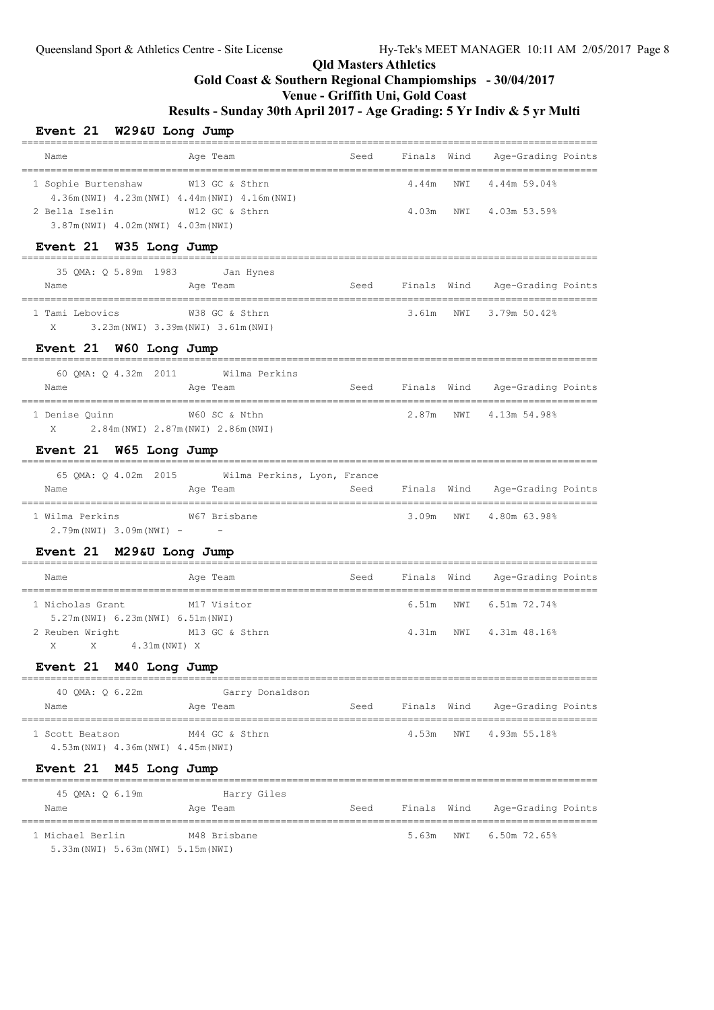## **Venue - Griffith Uni, Gold Coast**

**Results - Sunday 30th April 2017 - Age Grading: 5 Yr Indiv & 5 yr Multi**

#### **Event 21 W29&U Long Jump**

| Name                                                              | Age Team       | Seed | Finals Wind | Age-Grading Points |  |
|-------------------------------------------------------------------|----------------|------|-------------|--------------------|--|
| 1 Sophie Burtenshaw                                               | W13 GC & Sthrn |      | 4.44m       | NWT 4.44m 59.04%   |  |
| 4.36m (NWI) 4.23m (NWI) 4.44m (NWI) 4.16m (NWI)<br>2 Bella Iselin | W12 GC & Sthrn |      | 4.03m       | NWT 4.03m 53.59%   |  |
| 3.87m (NWI) 4.02m (NWI) 4.03m (NWI)                               |                |      |             |                    |  |

#### **Event 21 W35 Long Jump**

|      | 35 QMA: Q 5.89m 1983 |                                  | Jan Hynes |             |                    |  |
|------|----------------------|----------------------------------|-----------|-------------|--------------------|--|
| Name |                      | Age Team                         | Seed      | Finals Wind | Age-Grading Points |  |
|      |                      |                                  |           |             |                    |  |
|      | 1 Tami Lebovics      | W38 GC & Sthrn                   |           | 3.61m       | NWT 3.79m 50.42%   |  |
| X    |                      | 3.23m(NWI) 3.39m(NWI) 3.61m(NWI) |           |             |                    |  |

### **Event 21 W60 Long Jump**

| 60 OMA: 0 4.32m 2011 | Wilma Perkins                       |      |             |                    |
|----------------------|-------------------------------------|------|-------------|--------------------|
| Name                 | Age Team                            | Seed | Finals Wind | Age-Grading Points |
| 1 Denise Ouinn       | W60 SC & Nthn                       |      | 2.87m       | NWI 4.13m 54.98%   |
| X                    | 2.84m (NWI) 2.87m (NWI) 2.86m (NWI) |      |             |                    |

#### **Event 21 W65 Long Jump**

| 65 OMA: 0 4.02m 2015<br>Name                 | Wilma Perkins, Lyon, France<br>Age Team | Seed | Finals Wind | Age-Grading Points     |  |
|----------------------------------------------|-----------------------------------------|------|-------------|------------------------|--|
| 1 Wilma Perkins<br>$2.79m(NWI)$ 3.09m(NWI) - | W67 Brisbane<br>$\sim$ $-$              |      |             | 3.09m NWT 4.80m 63.98% |  |

#### **Event 21 M29&U Long Jump**

| Name                                | Age Team       | Seed | Finals Wind | Age-Grading Points     |  |
|-------------------------------------|----------------|------|-------------|------------------------|--|
| 1 Nicholas Grant                    | M17 Visitor    |      |             | 6.51m NWI 6.51m 72.74% |  |
| 5.27m (NWI) 6.23m (NWI) 6.51m (NWI) |                |      |             |                        |  |
| 2 Reuben Wright                     | M13 GC & Sthrn |      | 4.31m       | NWI 4.31m 48.16%       |  |
| 4.31m (NWI) X<br>X<br>$\mathbf{X}$  |                |      |             |                        |  |

### **Event 21 M40 Long Jump**

| 40 OMA: 0 6.22m                                        | Garry Donaldson |      |             |                    |
|--------------------------------------------------------|-----------------|------|-------------|--------------------|
| Name                                                   | Age Team        | Seed | Finals Wind | Age-Grading Points |
| 1 Scott Beatson<br>4.53m (NWI) 4.36m (NWI) 4.45m (NWI) | M44 GC & Sthrn  |      | 4.53m       | NWT 4.93m 55.18%   |

### **Event 21 M45 Long Jump**

| 45 OMA: 0 6.19m                     | Harry Giles  |      |             |                    |  |
|-------------------------------------|--------------|------|-------------|--------------------|--|
| Name                                | Age Team     | Seed | Finals Wind | Age-Grading Points |  |
| 1 Michael Berlin                    | M48 Brisbane |      | 5.63m       | NWT 6.50m 72.65%   |  |
| 5.33m (NWI) 5.63m (NWI) 5.15m (NWI) |              |      |             |                    |  |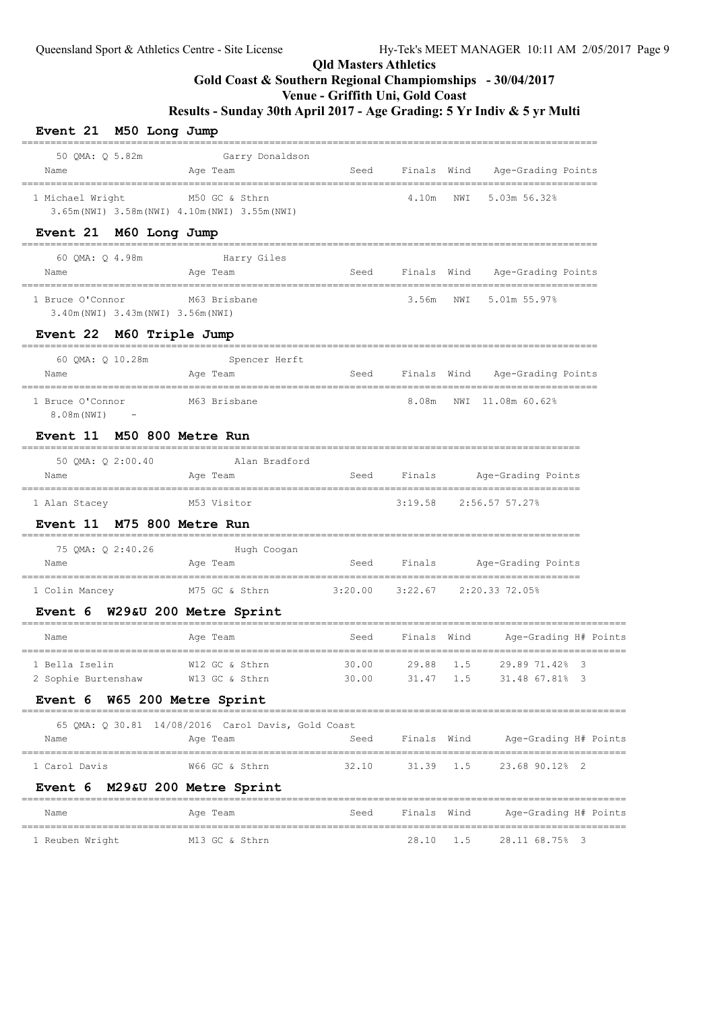## **Gold Coast & Southern Regional Champiomships - 30/04/2017**

### **Venue - Griffith Uni, Gold Coast**

| Event 21 M50 Long Jump                                  | _______________________________                                   |                |                |            |                                                        |  |
|---------------------------------------------------------|-------------------------------------------------------------------|----------------|----------------|------------|--------------------------------------------------------|--|
| 50 QMA: Q 5.82m<br>Name                                 | Garry Donaldson<br>Age Team                                       | Seed           | Finals Wind    |            | Age-Grading Points                                     |  |
| 1 Michael Wright                                        | M50 GC & Sthrn<br>3.65m (NWI) 3.58m (NWI) 4.10m (NWI) 3.55m (NWI) |                | 4.10m          | NWI        | 5.03m 56.32%                                           |  |
| Event 21 M60 Long Jump                                  |                                                                   |                |                |            | ----------------                                       |  |
| 60 QMA: Q 4.98m<br>Name                                 | Harry Giles<br>Age Team                                           |                |                |            | Seed Finals Wind Age-Grading-Points                    |  |
| 1 Bruce O'Connor<br>3.40m (NWI) 3.43m (NWI) 3.56m (NWI) | M63 Brisbane                                                      |                | 3.56m NWI      |            | 5.01m 55.97%                                           |  |
| Event 22 M60 Triple Jump                                |                                                                   |                |                |            |                                                        |  |
| 60 QMA: Q 10.28m<br>Name                                | Spencer Herft<br>Age Team                                         |                |                |            | Seed Finals Wind Age-Grading Points                    |  |
| 1 Bruce O'Connor<br>8.08m (NWI)<br>$\sim$ $-$           | M63 Brisbane                                                      |                | 8.08m          |            | NWI 11.08m 60.62%                                      |  |
| Event 11 M50 800 Metre Run                              |                                                                   |                |                |            |                                                        |  |
| 50 OMA: 0 2:00.40<br>Name                               | Alan Bradford<br>Age Team                                         |                |                |            | Seed Finals Age-Grading Points                         |  |
| 1 Alan Stacey                                           | M53 Visitor                                                       |                |                |            | 3:19.58 2:56.57 57.27%                                 |  |
| Event 11 M75 800 Metre Run                              |                                                                   |                |                |            |                                                        |  |
| 75 QMA: Q 2:40.26<br>Name                               | Hugh Coogan<br>Age Team                                           |                |                |            | Seed Finals Age-Grading Points                         |  |
| 1 Colin Mancey                                          | M75 GC & Sthrn                                                    |                |                |            | $3:20.00$ $3:22.67$ $2:20.33$ 72.05%                   |  |
| Event 6 W29&U 200 Metre Sprint                          |                                                                   |                |                |            |                                                        |  |
| Name                                                    | Age Team                                                          | Seed           | Finals Wind    |            | Age-Grading H# Points<br>_____________________________ |  |
| 1 Bella Iselin<br>2 Sophie Burtenshaw                   | W12 GC & Sthrn<br>W13 GC & Sthrn                                  | 30.00<br>30.00 | 29.88<br>31.47 | 1.5<br>1.5 | 29.89 71.42% 3<br>31.48 67.81% 3                       |  |
| Event 6 W65 200 Metre Sprint                            |                                                                   |                |                |            |                                                        |  |
|                                                         | 65 QMA: Q 30.81 14/08/2016 Carol Davis, Gold Coast                |                |                |            |                                                        |  |
| Name                                                    | Age Team                                                          | Seed           | Finals Wind    |            | Age-Grading H# Points                                  |  |
| 1 Carol Davis                                           | W66 GC & Sthrn                                                    | 32.10          | 31.39          | 1.5        | 23.68 90.12% 2                                         |  |
| Event 6 M29&U 200 Metre Sprint                          | ===========                                                       |                |                |            |                                                        |  |
| Name                                                    | Age Team                                                          | Seed           | Finals Wind    |            | Age-Grading H# Points                                  |  |
| 1 Reuben Wright                                         | M13 GC & Sthrn                                                    |                | 28.10          | 1.5        | 28.11 68.75% 3                                         |  |